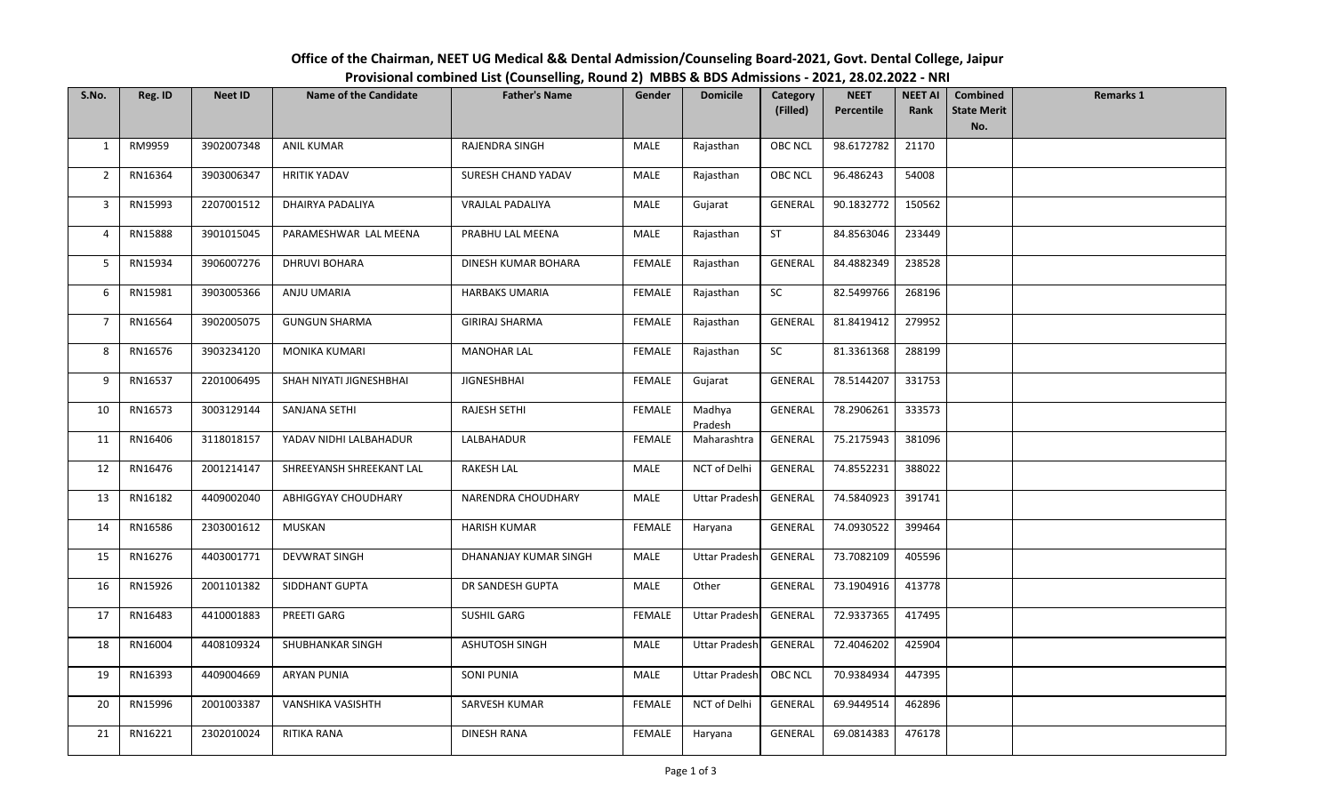**S.No. Reg. ID Neet ID Name of the Candidate Father's Name Gender Domicile Category (Filled) NEET PercentileNEET AI RankCombined State Merit No.Remarks 1**1 RM9959 3902007348 ANIL KUMAR RAJENDRA SINGH MALE Rajasthan OBC NCL 98.6172782 21170 2 RN16364 3903006347 HRITIK YADAV SURESH CHAND YADAV MALE Rajasthan OBC NCL 96.486243 54008 3 | RN15993 | 2207001512 | DHAIRYA PADALIYA | VRAJLAL PADALIYA | MALE | Gujarat | GENERAL | 90.1832772 | 150562 4 | RN15888 | 3901015045 | PARAMESHWAR LAL MEENA | PRABHU LAL MEENA | MALE | Rajasthan | ST | 84.8563046 | 233449 5 RN15934 3906007276 DHRUVI BOHARA DINESH KUMAR BOHARA FEMALE Rajasthan GENERAL 84.4882349 238528 6 | RN15981 | 3903005366 | ANJU UMARIA | HARBAKS UMARIA | FEMALE | Rajasthan | SC | 82.5499766 | 268196 7 RN16564 3902005075 GUNGUN SHARMA GIRIRAJ SHARMA FEMALE Rajasthan GENERAL 81.8419412 279952 8 | RN16576 | 3903234120 | MONIKA KUMARI | MANOHAR LAL | FEMALE | Rajasthan | SC | 81.3361368 | 288199 9 RN16537 2201006495 SHAH NIYATI JIGNESHBHAI JIGNESHBHAI FEMALE Gujarat GENERAL 78.5144207 331753 10 RN16573 3003129144 SANJANA SETHI RAJESH SETHI FEMALE Madhya PradeshGENERAL 78.2906261 333573 11 RN16406 3118018157 YADAV NIDHI LALBAHADUR LALBAHADUR FEMALE Maharashtra GENERAL 75.2175943 381096 12 RN16476 2001214147 SHREEYANSH SHREEKANT LAL RAKESH LAL MALE NCT of Delhi GENERAL 74.8552231 388022 13 RN16182 4409002040 ABHIGGYAY CHOUDHARY NARENDRA CHOUDHARY MALE Uttar Pradesh GENERAL 74.5840923 391741 14 | RN16586 | 2303001612 | MUSKAN | HARISH KUMAR | FEMALE | Haryana | GENERAL | 74.0930522 | 399464 15 RN16276 4403001771 DEVWRAT SINGH DHANANJAY KUMAR SINGH MALE Uttar Pradesh GENERAL 73.7082109 405596 16 RN15926 2001101382 SIDDHANT GUPTA DR SANDESH GUPTA MALE Other GENERAL 73.1904916 413778 17 | RN16483 | 4410001883 | PREETI GARG | SUSHIL GARG | SENSIFIL GARG | Uttar Pradesh | GENERAL | 72.9337365 | 417495 18 RN16004 4408109324 SHUBHANKAR SINGH ASHUTOSH SINGH MALE Uttar Pradesh GENERAL 72.4046202 425904 19 | RN16393 | 4409004669 | ARYAN PUNIA | SONI PUNIA | MALE | Uttar Pradesh| OBC NCL | 70.9384934 | 447395 20 RN15996 2001003387 VANSHIKA VASISHTH SARVESH KUMAR FEMALE NCT of Delhi GENERAL 69.9449514 462896 21 | RN16221 | 2302010024 | RITIKA RANA | DINESH RANA | FEMALE | Haryana | GENERAL | 69.0814383 | 476178

## **Office of the Chairman, NEET UG Medical && Dental Admission/Counseling Board‐2021, Govt. Dental College, Jaipur Provisional combined List (Counselling, Round 2) MBBS & BDS Admissions ‐ 2021, 28.02.2022 ‐ NRI**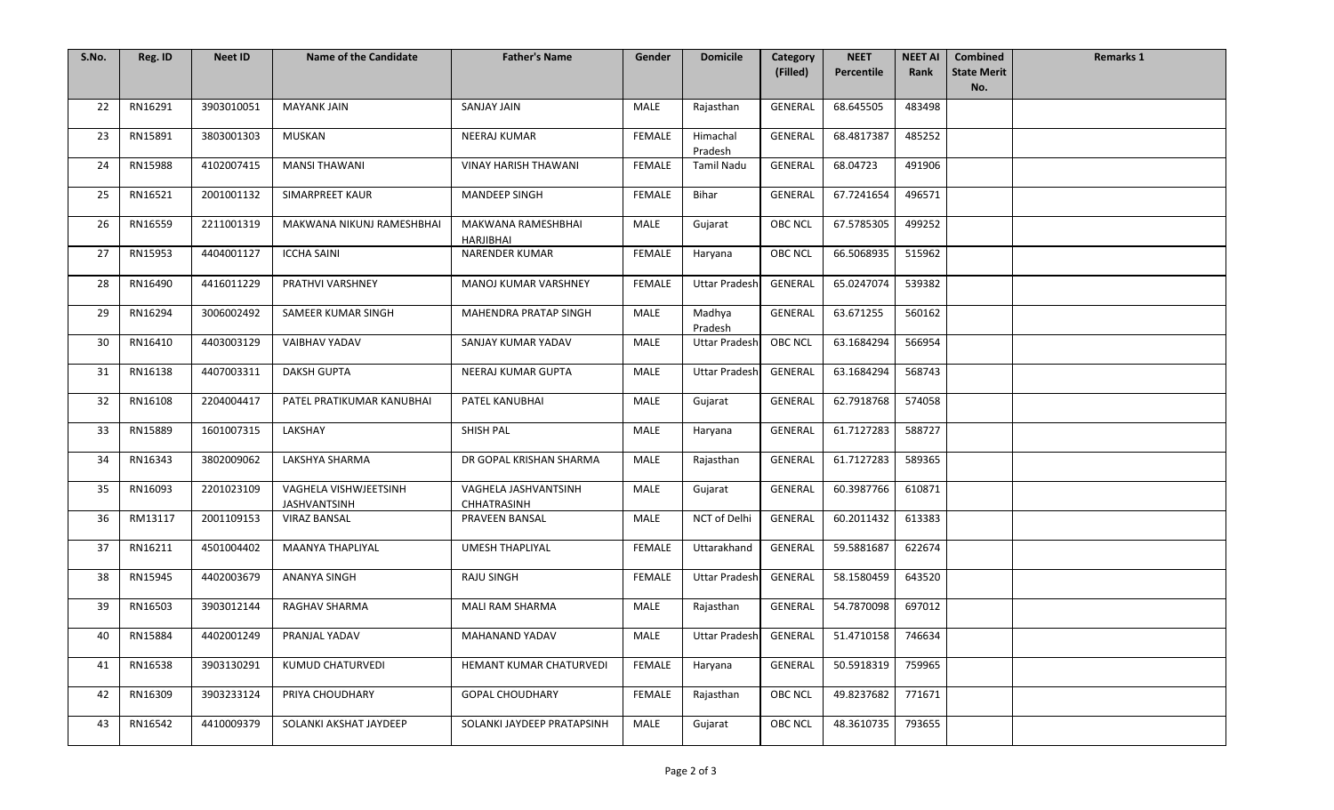| S.No. | Reg. ID | <b>Neet ID</b> | <b>Name of the Candidate</b>                 | <b>Father's Name</b>                | Gender        | <b>Domicile</b>      | Category<br>(Filled) | <b>NEET</b><br>Percentile | <b>NEET AI</b><br>Rank | <b>Combined</b><br><b>State Merit</b> | <b>Remarks 1</b> |
|-------|---------|----------------|----------------------------------------------|-------------------------------------|---------------|----------------------|----------------------|---------------------------|------------------------|---------------------------------------|------------------|
|       |         |                |                                              |                                     |               |                      |                      |                           |                        | No.                                   |                  |
| 22    | RN16291 | 3903010051     | <b>MAYANK JAIN</b>                           | <b>SANJAY JAIN</b>                  | MALE          | Rajasthan            | <b>GENERAL</b>       | 68.645505                 | 483498                 |                                       |                  |
| 23    | RN15891 | 3803001303     | MUSKAN                                       | NEERAJ KUMAR                        | FEMALE        | Himachal<br>Pradesh  | GENERAL              | 68.4817387                | 485252                 |                                       |                  |
| 24    | RN15988 | 4102007415     | <b>MANSI THAWANI</b>                         | <b>VINAY HARISH THAWANI</b>         | FEMALE        | <b>Tamil Nadu</b>    | <b>GENERAL</b>       | 68.04723                  | 491906                 |                                       |                  |
| 25    | RN16521 | 2001001132     | SIMARPREET KAUR                              | <b>MANDEEP SINGH</b>                | <b>FEMALE</b> | Bihar                | GENERAL              | 67.7241654                | 496571                 |                                       |                  |
| 26    | RN16559 | 2211001319     | MAKWANA NIKUNJ RAMESHBHAI                    | MAKWANA RAMESHBHAI<br>HARJIBHAI     | MALE          | Gujarat              | <b>OBC NCL</b>       | 67.5785305                | 499252                 |                                       |                  |
| 27    | RN15953 | 4404001127     | <b>ICCHA SAINI</b>                           | <b>NARENDER KUMAR</b>               | <b>FEMALE</b> | Haryana              | <b>OBC NCL</b>       | 66.5068935                | 515962                 |                                       |                  |
| 28    | RN16490 | 4416011229     | PRATHVI VARSHNEY                             | MANOJ KUMAR VARSHNEY                | <b>FEMALE</b> | <b>Uttar Pradesh</b> | GENERAL              | 65.0247074                | 539382                 |                                       |                  |
| 29    | RN16294 | 3006002492     | SAMEER KUMAR SINGH                           | MAHENDRA PRATAP SINGH               | <b>MALE</b>   | Madhya<br>Pradesh    | GENERAL              | 63.671255                 | 560162                 |                                       |                  |
| 30    | RN16410 | 4403003129     | VAIBHAV YADAV                                | SANJAY KUMAR YADAV                  | MALE          | <b>Uttar Pradesh</b> | <b>OBC NCL</b>       | 63.1684294                | 566954                 |                                       |                  |
| 31    | RN16138 | 4407003311     | <b>DAKSH GUPTA</b>                           | NEERAJ KUMAR GUPTA                  | MALE          | <b>Uttar Pradesh</b> | GENERAL              | 63.1684294                | 568743                 |                                       |                  |
| 32    | RN16108 | 2204004417     | PATEL PRATIKUMAR KANUBHAI                    | PATEL KANUBHAI                      | <b>MALE</b>   | Gujarat              | GENERAL              | 62.7918768                | 574058                 |                                       |                  |
| 33    | RN15889 | 1601007315     | LAKSHAY                                      | SHISH PAL                           | MALE          | Haryana              | <b>GENERAL</b>       | 61.7127283                | 588727                 |                                       |                  |
| 34    | RN16343 | 3802009062     | LAKSHYA SHARMA                               | DR GOPAL KRISHAN SHARMA             | <b>MALE</b>   | Rajasthan            | <b>GENERAL</b>       | 61.7127283                | 589365                 |                                       |                  |
| 35    | RN16093 | 2201023109     | VAGHELA VISHWJEETSINH<br><b>JASHVANTSINH</b> | VAGHELA JASHVANTSINH<br>CHHATRASINH | MALE          | Gujarat              | GENERAL              | 60.3987766                | 610871                 |                                       |                  |
| 36    | RM13117 | 2001109153     | <b>VIRAZ BANSAL</b>                          | PRAVEEN BANSAL                      | MALE          | NCT of Delhi         | <b>GENERAL</b>       | 60.2011432                | 613383                 |                                       |                  |
| 37    | RN16211 | 4501004402     | <b>MAANYA THAPLIYAL</b>                      | <b>UMESH THAPLIYAL</b>              | <b>FEMALE</b> | Uttarakhand          | GENERAL              | 59.5881687                | 622674                 |                                       |                  |
| 38    | RN15945 | 4402003679     | <b>ANANYA SINGH</b>                          | <b>RAJU SINGH</b>                   | FEMALE        | <b>Uttar Pradesh</b> | <b>GENERAL</b>       | 58.1580459                | 643520                 |                                       |                  |
| 39    | RN16503 | 3903012144     | RAGHAV SHARMA                                | MALI RAM SHARMA                     | MALE          | Rajasthan            | GENERAL              | 54.7870098                | 697012                 |                                       |                  |
| 40    | RN15884 | 4402001249     | PRANJAL YADAV                                | MAHANAND YADAV                      | MALE          | Uttar Pradesh        | GENERAL              | 51.4710158                | 746634                 |                                       |                  |
| 41    | RN16538 | 3903130291     | KUMUD CHATURVEDI                             | <b>HEMANT KUMAR CHATURVEDI</b>      | FEMALE        | Haryana              | GENERAL              | 50.5918319                | 759965                 |                                       |                  |
| 42    | RN16309 | 3903233124     | PRIYA CHOUDHARY                              | <b>GOPAL CHOUDHARY</b>              | <b>FEMALE</b> | Rajasthan            | <b>OBC NCL</b>       | 49.8237682                | 771671                 |                                       |                  |
| 43    | RN16542 | 4410009379     | SOLANKI AKSHAT JAYDEEP                       | SOLANKI JAYDEEP PRATAPSINH          | MALE          | Gujarat              | <b>OBC NCL</b>       | 48.3610735                | 793655                 |                                       |                  |